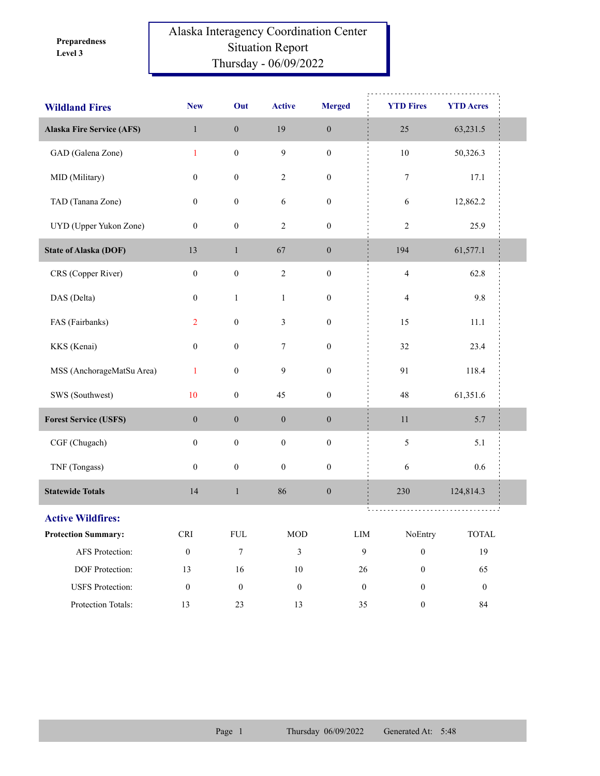**Level 3 Preparedness** 

## Alaska Interagency Coordination Center Situation Report Thursday - 06/09/2022

| <b>Wildland Fires</b>            | <b>New</b>       | Out              | <b>Active</b>    | <b>Merged</b>    |                  | <b>YTD Fires</b> | <b>YTD Acres</b> |  |
|----------------------------------|------------------|------------------|------------------|------------------|------------------|------------------|------------------|--|
| <b>Alaska Fire Service (AFS)</b> | $\,1$            | $\boldsymbol{0}$ | 19               | $\boldsymbol{0}$ |                  | 25               | 63,231.5         |  |
| GAD (Galena Zone)                | $\mathbf{1}$     | $\boldsymbol{0}$ | $\overline{9}$   | $\boldsymbol{0}$ |                  | $10\,$           | 50,326.3         |  |
| MID (Military)                   | $\boldsymbol{0}$ | $\boldsymbol{0}$ | $\sqrt{2}$       | $\boldsymbol{0}$ |                  | 7                | 17.1             |  |
| TAD (Tanana Zone)                | $\boldsymbol{0}$ | $\boldsymbol{0}$ | 6                | $\boldsymbol{0}$ |                  | 6                | 12,862.2         |  |
| UYD (Upper Yukon Zone)           | $\boldsymbol{0}$ | $\boldsymbol{0}$ | $\sqrt{2}$       | $\boldsymbol{0}$ |                  | $\overline{2}$   | 25.9             |  |
| <b>State of Alaska (DOF)</b>     | 13               | $\mathbf{1}$     | 67               | $\boldsymbol{0}$ |                  | 194              | 61,577.1         |  |
| CRS (Copper River)               | $\boldsymbol{0}$ | $\boldsymbol{0}$ | $\sqrt{2}$       | $\boldsymbol{0}$ |                  | $\overline{4}$   | 62.8             |  |
| DAS (Delta)                      | $\boldsymbol{0}$ | $\mathbf{1}$     | $\mathbf{1}$     | $\boldsymbol{0}$ |                  | $\overline{4}$   | 9.8              |  |
| FAS (Fairbanks)                  | $\overline{2}$   | $\boldsymbol{0}$ | 3                | $\boldsymbol{0}$ |                  | 15               | 11.1             |  |
| KKS (Kenai)                      | $\boldsymbol{0}$ | $\boldsymbol{0}$ | $\tau$           | $\boldsymbol{0}$ |                  | 32               | 23.4             |  |
| MSS (AnchorageMatSu Area)        | $\mathbf{1}$     | $\boldsymbol{0}$ | 9                | $\boldsymbol{0}$ |                  | 91               | 118.4            |  |
| SWS (Southwest)                  | 10               | $\boldsymbol{0}$ | 45               | $\boldsymbol{0}$ |                  | 48               | 61,351.6         |  |
| <b>Forest Service (USFS)</b>     | $\boldsymbol{0}$ | $\boldsymbol{0}$ | $\boldsymbol{0}$ | $\boldsymbol{0}$ |                  | 11               | 5.7              |  |
| CGF (Chugach)                    | $\boldsymbol{0}$ | $\boldsymbol{0}$ | $\boldsymbol{0}$ | $\boldsymbol{0}$ |                  | 5                | 5.1              |  |
| TNF (Tongass)                    | $\boldsymbol{0}$ | $\boldsymbol{0}$ | $\boldsymbol{0}$ | $\boldsymbol{0}$ |                  | $\epsilon$       | 0.6              |  |
| <b>Statewide Totals</b>          | 14               | $\mathbf{1}$     | 86               | $\boldsymbol{0}$ |                  | 230              | 124,814.3        |  |
| <b>Active Wildfires:</b>         |                  |                  |                  |                  |                  |                  |                  |  |
| <b>Protection Summary:</b>       | <b>CRI</b>       | FUL              | <b>MOD</b>       |                  | $\text{LIM}{}$   | NoEntry          | <b>TOTAL</b>     |  |
| AFS Protection:                  | $\boldsymbol{0}$ | $\boldsymbol{7}$ | 3                |                  | $\mathbf{9}$     | $\boldsymbol{0}$ | 19               |  |
| DOF Protection:                  | 13               | $16\,$           | $10\,$           |                  | $26\,$           | $\boldsymbol{0}$ | 65               |  |
| <b>USFS</b> Protection:          | $\boldsymbol{0}$ | $\boldsymbol{0}$ | $\boldsymbol{0}$ |                  | $\boldsymbol{0}$ | $\boldsymbol{0}$ | $\boldsymbol{0}$ |  |
| Protection Totals:               | 13               | 23               | 13               |                  | 35               | $\boldsymbol{0}$ | 84               |  |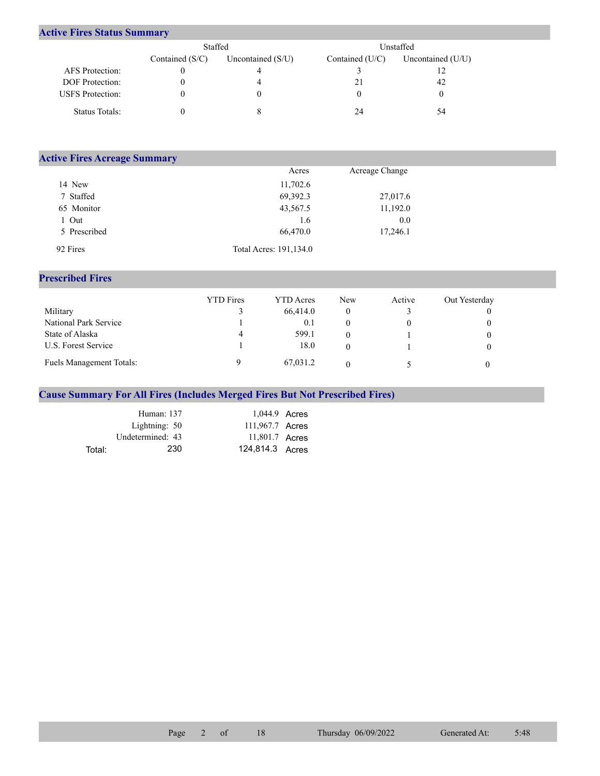## **Active Fires Status Summary**

|                         | Staffed           |                     | Unstaffed       |                     |  |  |
|-------------------------|-------------------|---------------------|-----------------|---------------------|--|--|
|                         | Contained $(S/C)$ | Uncontained $(S/U)$ | Contained (U/C) | Uncontained $(U/U)$ |  |  |
| AFS Protection:         |                   |                     |                 |                     |  |  |
| <b>DOF</b> Protection:  |                   |                     | 21              | 42                  |  |  |
| <b>USFS</b> Protection: |                   |                     |                 |                     |  |  |
| Status Totals:          |                   |                     | 24              | 54                  |  |  |

| <b>Active Fires Acreage Summary</b> |                        |                |  |  |  |  |  |  |  |
|-------------------------------------|------------------------|----------------|--|--|--|--|--|--|--|
|                                     | Acres                  | Acreage Change |  |  |  |  |  |  |  |
| 14 New                              | 11,702.6               |                |  |  |  |  |  |  |  |
| 7 Staffed                           | 69,392.3               | 27,017.6       |  |  |  |  |  |  |  |
| 65 Monitor                          | 43,567.5               | 11,192.0       |  |  |  |  |  |  |  |
| 1 Out                               | 1.6                    | 0.0            |  |  |  |  |  |  |  |
| 5 Prescribed                        | 66,470.0               | 17,246.1       |  |  |  |  |  |  |  |
| 92 Fires                            | Total Acres: 191,134.0 |                |  |  |  |  |  |  |  |

## **Prescribed Fires**

|                                 | <b>YTD</b> Fires | <b>YTD</b> Acres | New | Active | Out Yesterday |
|---------------------------------|------------------|------------------|-----|--------|---------------|
| Military                        |                  | 66,414.0         | 0   |        |               |
| National Park Service           |                  | 0.1              |     |        |               |
| State of Alaska                 | 4                | 599.1            | 0   |        |               |
| U.S. Forest Service             |                  | 18.0             | 0   |        |               |
| <b>Fuels Management Totals:</b> |                  | 67,031.2         |     |        |               |

## **Cause Summary For All Fires (Includes Merged Fires But Not Prescribed Fires)**

|        | Human: 137       | 1,044.9 Acres   |  |
|--------|------------------|-----------------|--|
|        | Lightning: 50    | 111,967.7 Acres |  |
|        | Undetermined: 43 | 11,801.7 Acres  |  |
| Total: | 230              | 124.814.3 Acres |  |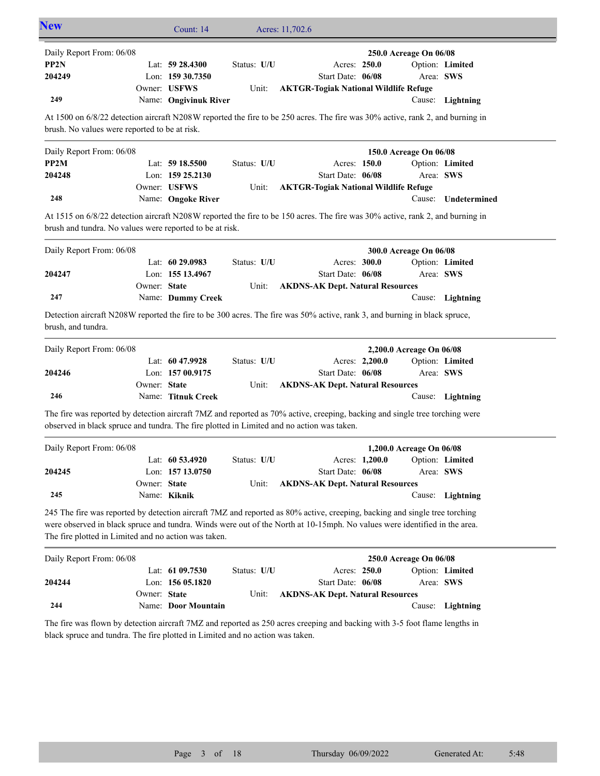| <b>New</b>                                                                                                                                                                                                                                                                                                      |              | Count: 14             |             | Acres: 11,702.6                              |                |                                |                  |
|-----------------------------------------------------------------------------------------------------------------------------------------------------------------------------------------------------------------------------------------------------------------------------------------------------------------|--------------|-----------------------|-------------|----------------------------------------------|----------------|--------------------------------|------------------|
| Daily Report From: 06/08                                                                                                                                                                                                                                                                                        |              |                       |             |                                              |                | 250.0 Acreage On 06/08         |                  |
| PP2N                                                                                                                                                                                                                                                                                                            |              | Lat: $59\,28.4300$    | Status: U/U | Acres: 250.0                                 |                |                                | Option: Limited  |
| 204249                                                                                                                                                                                                                                                                                                          |              | Lon: 159 30.7350      |             | Start Date: 06/08                            |                | Area: SWS                      |                  |
|                                                                                                                                                                                                                                                                                                                 |              | Owner: USFWS          | Unit:       | <b>AKTGR-Togiak National Wildlife Refuge</b> |                |                                |                  |
| 249                                                                                                                                                                                                                                                                                                             |              | Name: Ongivinuk River |             |                                              |                |                                | Cause: Lightning |
| At 1500 on 6/8/22 detection aircraft N208W reported the fire to be 250 acres. The fire was 30% active, rank 2, and burning in<br>brush. No values were reported to be at risk.                                                                                                                                  |              |                       |             |                                              |                |                                |                  |
| Daily Report From: 06/08                                                                                                                                                                                                                                                                                        |              |                       |             |                                              |                | 150.0 Acreage On 06/08         |                  |
| PP2M                                                                                                                                                                                                                                                                                                            |              | Lat: 59 18.5500       | Status: U/U | Acres: 150.0                                 |                |                                | Option: Limited  |
| 204248                                                                                                                                                                                                                                                                                                          |              | Lon: $15925.2130$     |             | Start Date: 06/08                            |                | Area: SWS                      |                  |
|                                                                                                                                                                                                                                                                                                                 |              | Owner: USFWS          | Unit:       | <b>AKTGR-Togiak National Wildlife Refuge</b> |                |                                |                  |
| 248                                                                                                                                                                                                                                                                                                             |              | Name: Ongoke River    |             |                                              |                | Cause:                         | Undetermined     |
| At 1515 on 6/8/22 detection aircraft N208W reported the fire to be 150 acres. The fire was 30% active, rank 2, and burning in<br>brush and tundra. No values were reported to be at risk.                                                                                                                       |              |                       |             |                                              |                |                                |                  |
| Daily Report From: 06/08                                                                                                                                                                                                                                                                                        |              |                       |             |                                              |                | 300.0 Acreage On 06/08         |                  |
|                                                                                                                                                                                                                                                                                                                 |              | Lat: 60 29.0983       | Status: U/U | Acres: 300.0                                 |                |                                | Option: Limited  |
| 204247                                                                                                                                                                                                                                                                                                          |              | Lon: 155 13.4967      |             | Start Date: 06/08                            |                | Area: SWS                      |                  |
|                                                                                                                                                                                                                                                                                                                 | Owner: State |                       | Unit:       | <b>AKDNS-AK Dept. Natural Resources</b>      |                |                                |                  |
| 247                                                                                                                                                                                                                                                                                                             |              | Name: Dummy Creek     |             |                                              |                |                                | Cause: Lightning |
| Detection aircraft N208W reported the fire to be 300 acres. The fire was 50% active, rank 3, and burning in black spruce,<br>brush, and tundra.                                                                                                                                                                 |              |                       |             |                                              |                |                                |                  |
| Daily Report From: 06/08                                                                                                                                                                                                                                                                                        |              |                       |             |                                              |                | 2,200.0 Acreage On 06/08       |                  |
|                                                                                                                                                                                                                                                                                                                 |              | Lat: 60 47.9928       | Status: U/U |                                              | Acres: 2,200.0 |                                | Option: Limited  |
| 204246                                                                                                                                                                                                                                                                                                          |              | Lon: 157 00.9175      |             | Start Date: 06/08                            |                | Area: SWS                      |                  |
|                                                                                                                                                                                                                                                                                                                 | Owner: State |                       | Unit:       | <b>AKDNS-AK Dept. Natural Resources</b>      |                |                                |                  |
| 246                                                                                                                                                                                                                                                                                                             |              | Name: Titnuk Creek    |             |                                              |                |                                | Cause: Lightning |
| The fire was reported by detection aircraft 7MZ and reported as 70% active, creeping, backing and single tree torching were<br>observed in black spruce and tundra. The fire plotted in Limited and no action was taken.                                                                                        |              |                       |             |                                              |                |                                |                  |
| Daily Report From: 06/08                                                                                                                                                                                                                                                                                        |              |                       |             |                                              |                | 1,200.0 Acreage On 06/08       |                  |
|                                                                                                                                                                                                                                                                                                                 |              | Lat: $60\,53.4920$    | Status: U/U |                                              |                | Acres: 1,200.0 Option: Limited |                  |
| 204245                                                                                                                                                                                                                                                                                                          |              | Lon: 157 13.0750      |             | Start Date: 06/08                            |                | Area: SWS                      |                  |
| 245                                                                                                                                                                                                                                                                                                             | Owner: State |                       | Unit:       | <b>AKDNS-AK Dept. Natural Resources</b>      |                |                                |                  |
|                                                                                                                                                                                                                                                                                                                 |              | Name: Kiknik          |             |                                              |                |                                | Cause: Lightning |
| 245 The fire was reported by detection aircraft 7MZ and reported as 80% active, creeping, backing and single tree torching<br>were observed in black spruce and tundra. Winds were out of the North at 10-15mph. No values were identified in the area.<br>The fire plotted in Limited and no action was taken. |              |                       |             |                                              |                |                                |                  |
| Daily Report From: 06/08                                                                                                                                                                                                                                                                                        |              |                       |             |                                              |                | 250.0 Acreage On 06/08         |                  |
|                                                                                                                                                                                                                                                                                                                 |              | Lat: 61 09.7530       | Status: U/U | Acres: 250.0                                 |                |                                | Option: Limited  |
| 204244                                                                                                                                                                                                                                                                                                          |              | Lon: 156 05.1820      |             | Start Date: 06/08                            |                | Area: SWS                      |                  |
|                                                                                                                                                                                                                                                                                                                 | Owner: State |                       | Unit:       | <b>AKDNS-AK Dept. Natural Resources</b>      |                |                                |                  |
| 244                                                                                                                                                                                                                                                                                                             |              | Name: Door Mountain   |             |                                              |                |                                | Cause: Lightning |
| The fire was flown by detection aircraft 7MZ and reported as 250 acres creeping and backing with 3-5 foot flame lengths in<br>black spruce and tundra. The fire plotted in Limited and no action was taken.                                                                                                     |              |                       |             |                                              |                |                                |                  |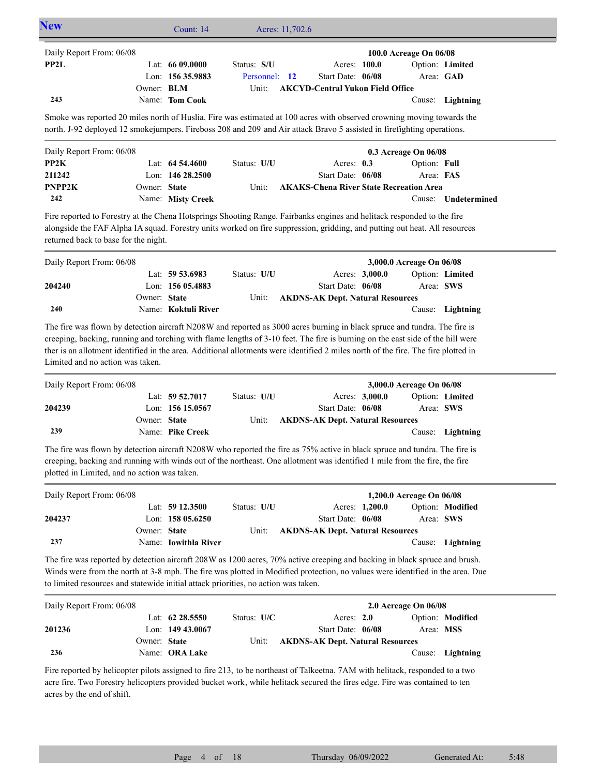| <b>New</b>               |                                                                                                                                                                                                                                                   | Count: $14$        |                                                  | Acres: 11,702.6 |                   |  |                                                |                 |  |
|--------------------------|---------------------------------------------------------------------------------------------------------------------------------------------------------------------------------------------------------------------------------------------------|--------------------|--------------------------------------------------|-----------------|-------------------|--|------------------------------------------------|-----------------|--|
| Daily Report From: 06/08 |                                                                                                                                                                                                                                                   |                    |                                                  |                 |                   |  | 100.0 Acreage On 06/08                         |                 |  |
| PP2L                     |                                                                                                                                                                                                                                                   | Lat: $6609.0000$   | Status: S/U                                      |                 | Acres: 100.0      |  |                                                | Option: Limited |  |
|                          |                                                                                                                                                                                                                                                   | Lon: $15635.9883$  | Personnel: 12                                    |                 | Start Date: 06/08 |  |                                                | Area: GAD       |  |
|                          | Owner: BLM                                                                                                                                                                                                                                        |                    | Unit:<br><b>AKCYD-Central Yukon Field Office</b> |                 |                   |  |                                                |                 |  |
|                          |                                                                                                                                                                                                                                                   |                    |                                                  |                 |                   |  |                                                |                 |  |
| 243                      | Smoke was reported 20 miles north of Huslia. Fire was estimated at 100 acres with observed crowning moving towards the<br>north. J-92 deployed 12 smoke jumpers. Fireboss 208 and 209 and Air attack Bravo 5 assisted in firefighting operations. | Name: Tom Cook     |                                                  |                 |                   |  | Cause:                                         | Lightning       |  |
| Daily Report From: 06/08 |                                                                                                                                                                                                                                                   |                    |                                                  |                 |                   |  | $0.3$ Acreage On $06/08$                       |                 |  |
| PP2K                     |                                                                                                                                                                                                                                                   | Lat: $64\,54.4600$ | Status: U/U                                      |                 | Acres: $0.3$      |  | Option: Full                                   |                 |  |
| 211242                   |                                                                                                                                                                                                                                                   | Lon: $14628.2500$  |                                                  |                 | Start Date: 06/08 |  | Area: FAS                                      |                 |  |
| PNPP2K                   | Owner: State                                                                                                                                                                                                                                      |                    | Unit:                                            |                 |                   |  | <b>AKAKS-Chena River State Recreation Area</b> |                 |  |

alongside the FAF Alpha IA squad. Forestry units worked on fire suppression, gridding, and putting out heat. All resources returned back to base for the night.

| Daily Report From: 06/08 |              |                     |             |                                         |                | 3,000.0 Acreage On 06/08 |                  |
|--------------------------|--------------|---------------------|-------------|-----------------------------------------|----------------|--------------------------|------------------|
|                          |              | Lat: $59\,53.6983$  | Status: U/U |                                         | Acres: 3,000.0 |                          | Option: Limited  |
| 204240                   |              | Lon: $15605.4883$   |             | Start Date: 06/08                       |                | Area: SWS                |                  |
|                          | Owner: State |                     | Unit:       | <b>AKDNS-AK Dept. Natural Resources</b> |                |                          |                  |
| 240                      |              | Name: Koktuli River |             |                                         |                |                          | Cause: Lightning |

The fire was flown by detection aircraft N208W and reported as 3000 acres burning in black spruce and tundra. The fire is creeping, backing, running and torching with flame lengths of 3-10 feet. The fire is burning on the east side of the hill were ther is an allotment identified in the area. Additional allotments were identified 2 miles north of the fire. The fire plotted in Limited and no action was taken.

| Daily Report From: 06/08 |              |                    |             |                                         |                | 3,000.0 Acreage On 06/08 |                  |
|--------------------------|--------------|--------------------|-------------|-----------------------------------------|----------------|--------------------------|------------------|
|                          |              | Lat: $59\,52.7017$ | Status: U/U |                                         | Acres: 3,000.0 |                          | Option: Limited  |
| 204239                   |              | Lon: $15615.0567$  |             | Start Date: 06/08                       |                | Area: SWS                |                  |
|                          | Owner: State |                    | Unit:       | <b>AKDNS-AK Dept. Natural Resources</b> |                |                          |                  |
| 239                      |              | Name: Pike Creek   |             |                                         |                |                          | Cause: Lightning |

The fire was flown by detection aircraft N208W who reported the fire as 75% active in black spruce and tundra. The fire is creeping, backing and running with winds out of the northeast. One allotment was identified 1 mile from the fire, the fire plotted in Limited, and no action was taken.

| Daily Report From: 06/08 |              |                             |             |                                         |                | 1,200.0 Acreage On 06/08 |                  |
|--------------------------|--------------|-----------------------------|-------------|-----------------------------------------|----------------|--------------------------|------------------|
|                          |              | Lat: $59\,12.3500$          | Status: U/U |                                         | Acres: 1,200.0 |                          | Option: Modified |
| 204237                   |              | Lon: $15805.6250$           |             | Start Date: 06/08                       |                | Area: SWS                |                  |
|                          | Owner: State |                             | Unit:       | <b>AKDNS-AK Dept. Natural Resources</b> |                |                          |                  |
| 237                      |              | Name: <b>Iowithla River</b> |             |                                         |                |                          | Cause: Lightning |

The fire was reported by detection aircraft 208W as 1200 acres, 70% active creeping and backing in black spruce and brush. Winds were from the north at 3-8 mph. The fire was plotted in Modified protection, no values were identified in the area. Due to limited resources and statewide initial attack priorities, no action was taken.

| Daily Report From: 06/08 | $2.0$ Acreage On $06/08$ |                       |               |                                         |  |           |                  |
|--------------------------|--------------------------|-----------------------|---------------|-----------------------------------------|--|-----------|------------------|
|                          |                          | Lat: $62\,28.5550$    | Status: $U/C$ | Acres: $2.0$                            |  |           | Option: Modified |
| 201236                   |                          | Lon: $14943.0067$     |               | Start Date: 06/08                       |  | Area: MSS |                  |
|                          | Owner: State             |                       | Unit:         | <b>AKDNS-AK Dept. Natural Resources</b> |  |           |                  |
| 236                      |                          | Name: <b>ORA Lake</b> |               |                                         |  |           | Cause: Lightning |

Fire reported by helicopter pilots assigned to fire 213, to be northeast of Talkeetna. 7AM with helitack, responded to a two acre fire. Two Forestry helicopters provided bucket work, while helitack secured the fires edge. Fire was contained to ten acres by the end of shift.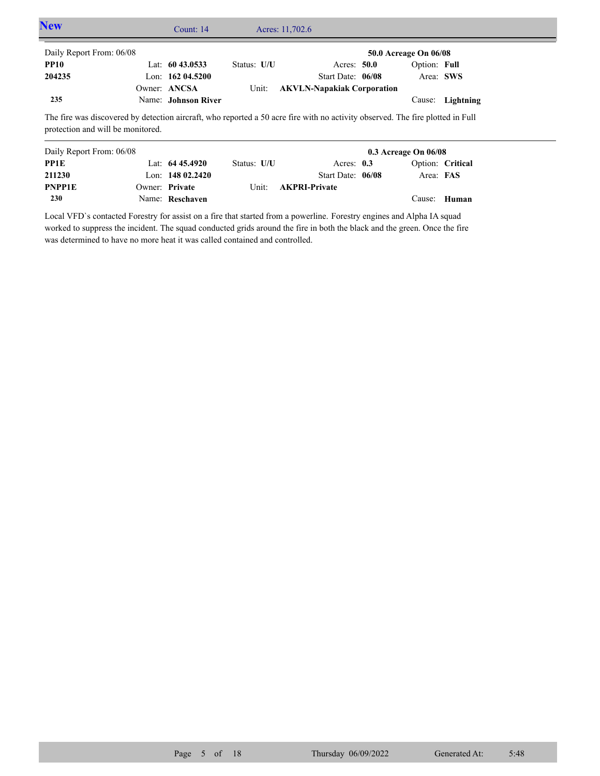| <b>New</b>                                                                                                                     | Count: 14           |             | Acres: 11,702.6                   |                       |                  |  |
|--------------------------------------------------------------------------------------------------------------------------------|---------------------|-------------|-----------------------------------|-----------------------|------------------|--|
| Daily Report From: 06/08                                                                                                       |                     |             |                                   | 50.0 Acreage On 06/08 |                  |  |
| <b>PP10</b>                                                                                                                    | Lat: $6043.0533$    | Status: U/U | Acres: 50.0                       | Option: Full          |                  |  |
| 204235                                                                                                                         | Lon: $16204.5200$   |             | Start Date: 06/08                 |                       | Area: SWS        |  |
|                                                                                                                                | Owner: ANCSA        | Unit:       | <b>AKVLN-Napakiak Corporation</b> |                       |                  |  |
| 235                                                                                                                            | Name: Johnson River |             |                                   |                       | Cause: Lightning |  |
| The fire was discovered by detection giroraft, who reported a 50 acre fire with no activity observed. The fire plotted in Full |                     |             |                                   |                       |                  |  |

The fire was discovered by detection aircraft, who reported a 50 acre fire with no activity observed. The fire plotted in Full protection and will be monitored.

| Daily Report From: 06/08 |                    |             | $0.3$ Acreage On $06/08$ |  |           |                  |
|--------------------------|--------------------|-------------|--------------------------|--|-----------|------------------|
| PP1E                     | Lat: $64\,45.4920$ | Status: U/U | Acres: $0.3$             |  |           | Option: Critical |
| 211230                   | Lon: $14802.2420$  |             | Start Date: 06/08        |  | Area: FAS |                  |
| <b>PNPP1E</b>            | Owner: Private     | Unit:       | <b>AKPRI-Private</b>     |  |           |                  |
| <b>230</b>               | Name: Reschaven    |             |                          |  |           | Cause: Human     |

Local VFD`s contacted Forestry for assist on a fire that started from a powerline. Forestry engines and Alpha IA squad worked to suppress the incident. The squad conducted grids around the fire in both the black and the green. Once the fire was determined to have no more heat it was called contained and controlled.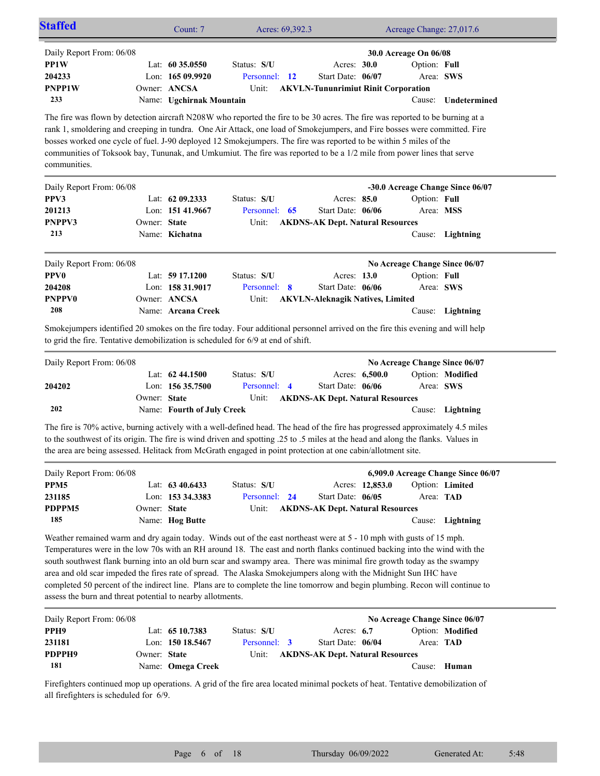|                          |              | Count: 7                   | Acres: 69,392.3                                                                                                                                                                                                                                                                                                                                                                                                                                                                                          |                                            |                | Acreage Change: 27,017.6      |                                  |
|--------------------------|--------------|----------------------------|----------------------------------------------------------------------------------------------------------------------------------------------------------------------------------------------------------------------------------------------------------------------------------------------------------------------------------------------------------------------------------------------------------------------------------------------------------------------------------------------------------|--------------------------------------------|----------------|-------------------------------|----------------------------------|
| Daily Report From: 06/08 |              |                            |                                                                                                                                                                                                                                                                                                                                                                                                                                                                                                          |                                            |                | 30.0 Acreage On 06/08         |                                  |
| PP1W                     |              | Lat: 60 35.0550            | Status: S/U                                                                                                                                                                                                                                                                                                                                                                                                                                                                                              | Acres: 30.0                                |                | Option: Full                  |                                  |
| 204233                   |              | Lon: 165 09.9920           | Personnel: 12                                                                                                                                                                                                                                                                                                                                                                                                                                                                                            | Start Date: 06/07                          |                | Area: SWS                     |                                  |
| <b>PNPP1W</b>            |              | Owner: ANCSA               | Unit:                                                                                                                                                                                                                                                                                                                                                                                                                                                                                                    | <b>AKVLN-Tununrimiut Rinit Corporation</b> |                |                               |                                  |
| 233                      |              | Name: Ugchirnak Mountain   |                                                                                                                                                                                                                                                                                                                                                                                                                                                                                                          |                                            |                | Cause:                        | Undetermined                     |
| communities.             |              |                            | The fire was flown by detection aircraft N208W who reported the fire to be 30 acres. The fire was reported to be burning at a<br>rank 1, smoldering and creeping in tundra. One Air Attack, one load of Smokejumpers, and Fire bosses were committed. Fire<br>bosses worked one cycle of fuel. J-90 deployed 12 Smokejumpers. The fire was reported to be within 5 miles of the<br>communities of Toksook bay, Tununak, and Umkumiut. The fire was reported to be a 1/2 mile from power lines that serve |                                            |                |                               |                                  |
| Daily Report From: 06/08 |              |                            |                                                                                                                                                                                                                                                                                                                                                                                                                                                                                                          |                                            |                |                               | -30.0 Acreage Change Since 06/07 |
| PPV3                     |              | Lat: 62 09.2333            | Status: S/U                                                                                                                                                                                                                                                                                                                                                                                                                                                                                              | Acres: 85.0                                |                | Option: Full                  |                                  |
| 201213                   |              | Lon: 151 41.9667           | Personnel: 65                                                                                                                                                                                                                                                                                                                                                                                                                                                                                            | Start Date: 06/06                          |                | Area: MSS                     |                                  |
| PNPPV3                   | Owner: State |                            | Unit:                                                                                                                                                                                                                                                                                                                                                                                                                                                                                                    | <b>AKDNS-AK Dept. Natural Resources</b>    |                |                               |                                  |
| 213                      |              | Name: Kichatna             |                                                                                                                                                                                                                                                                                                                                                                                                                                                                                                          |                                            |                |                               | Cause: Lightning                 |
| Daily Report From: 06/08 |              |                            |                                                                                                                                                                                                                                                                                                                                                                                                                                                                                                          |                                            |                | No Acreage Change Since 06/07 |                                  |
|                          |              | Lat: 59 17.1200            | Status: S/U                                                                                                                                                                                                                                                                                                                                                                                                                                                                                              | Acres: 13.0                                |                | Option: Full                  |                                  |
| <b>PPV0</b>              |              |                            |                                                                                                                                                                                                                                                                                                                                                                                                                                                                                                          |                                            |                |                               |                                  |
| 204208                   |              | Lon: 158 31.9017           | Personnel: 8                                                                                                                                                                                                                                                                                                                                                                                                                                                                                             | Start Date: 06/06                          |                |                               | Area: SWS                        |
| <b>PNPPV0</b>            |              | Owner: ANCSA               | Unit:                                                                                                                                                                                                                                                                                                                                                                                                                                                                                                    | <b>AKVLN-Aleknagik Natives, Limited</b>    |                |                               |                                  |
| 208                      |              | Name: Arcana Creek         |                                                                                                                                                                                                                                                                                                                                                                                                                                                                                                          |                                            |                |                               | Cause: Lightning                 |
|                          |              |                            | Smokejumpers identified 20 smokes on the fire today. Four additional personnel arrived on the fire this evening and will help<br>to grid the fire. Tentative demobilization is scheduled for 6/9 at end of shift.                                                                                                                                                                                                                                                                                        |                                            |                |                               |                                  |
| Daily Report From: 06/08 |              |                            |                                                                                                                                                                                                                                                                                                                                                                                                                                                                                                          |                                            |                | No Acreage Change Since 06/07 |                                  |
|                          |              | Lat: 62 44.1500            | Status: S/U                                                                                                                                                                                                                                                                                                                                                                                                                                                                                              |                                            | Acres: 6,500.0 |                               | Option: Modified                 |
| 204202                   |              | Lon: 156 35.7500           | Personnel: 4                                                                                                                                                                                                                                                                                                                                                                                                                                                                                             | Start Date: 06/06                          |                |                               | Area: SWS                        |
| 202                      | Owner: State | Name: Fourth of July Creek | Unit:                                                                                                                                                                                                                                                                                                                                                                                                                                                                                                    | <b>AKDNS-AK Dept. Natural Resources</b>    |                |                               | Cause: Lightning                 |

the area are being assessed. Helitack from McGrath engaged in point protection at one cabin/allotment site.

| Daily Report From: 06/08 |              |                     |               |                                         |                 |                  | 6,909.0 Acreage Change Since 06/07 |
|--------------------------|--------------|---------------------|---------------|-----------------------------------------|-----------------|------------------|------------------------------------|
| PPM <sub>5</sub>         |              | Lat: $63\,40.6433$  | Status: S/U   |                                         | Acres: 12,853.0 |                  | Option: Limited                    |
| 231185                   |              | Lon: $153\,34.3383$ | Personnel: 24 | Start Date: $06/05$                     |                 | Area: <b>TAD</b> |                                    |
| PDPPM5                   | Owner: State |                     | Unit:         | <b>AKDNS-AK Dept. Natural Resources</b> |                 |                  |                                    |
| 185                      |              | Name: Hog Butte     |               |                                         |                 |                  | Cause: Lightning                   |

Weather remained warm and dry again today. Winds out of the east northeast were at 5 - 10 mph with gusts of 15 mph. Temperatures were in the low 70s with an RH around 18. The east and north flanks continued backing into the wind with the south southwest flank burning into an old burn scar and swampy area. There was minimal fire growth today as the swampy area and old scar impeded the fires rate of spread. The Alaska Smokejumpers along with the Midnight Sun IHC have completed 50 percent of the indirect line. Plans are to complete the line tomorrow and begin plumbing. Recon will continue to assess the burn and threat potential to nearby allotments.

| Daily Report From: 06/08 |              |                   |              |                                         | No Acreage Change Since 06/07 |                  |
|--------------------------|--------------|-------------------|--------------|-----------------------------------------|-------------------------------|------------------|
| PPH9                     |              | Lat: $6510.7383$  | Status: S/U  | Acres: $6.7$                            |                               | Option: Modified |
| 231181                   |              | Lon: $15018.5467$ | Personnel: 3 | Start Date: 06/04                       |                               | Area: <b>TAD</b> |
| PDPPH9                   | Owner: State |                   | Unit:        | <b>AKDNS-AK Dept. Natural Resources</b> |                               |                  |
| 181                      |              | Name: Omega Creek |              |                                         | Cause:                        | Human            |

Firefighters continued mop up operations. A grid of the fire area located minimal pockets of heat. Tentative demobilization of all firefighters is scheduled for 6/9.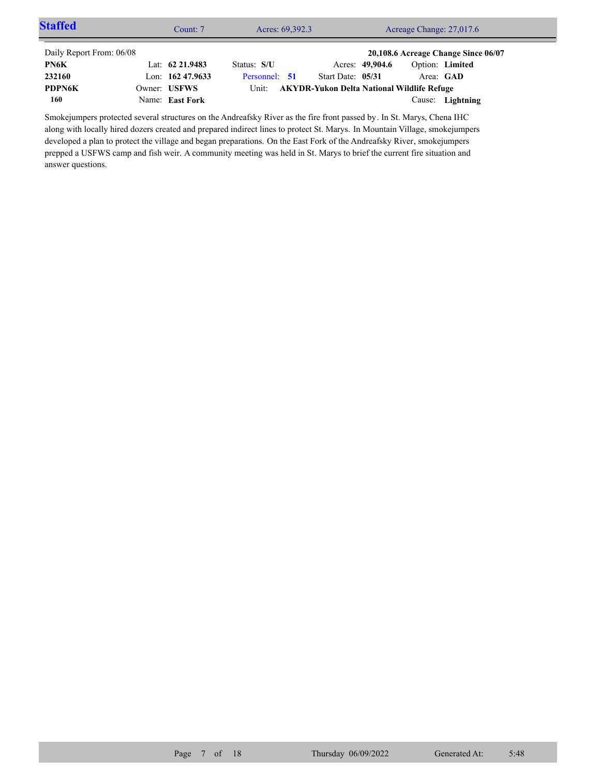| <b>Staffed</b>           | Count: 7           | Acres: 69,392.3 |  | Acreage Change: 27,017.6                         |                 |                                     |                 |  |
|--------------------------|--------------------|-----------------|--|--------------------------------------------------|-----------------|-------------------------------------|-----------------|--|
| Daily Report From: 06/08 |                    |                 |  |                                                  |                 | 20,108.6 Acreage Change Since 06/07 |                 |  |
| PN6K                     | Lat: $62\,21.9483$ | Status: S/U     |  |                                                  | Acres: 49,904.6 |                                     | Option: Limited |  |
| 232160                   | Lon: $16247.9633$  | Personnel: 51   |  | Start Date: 05/31                                |                 | Area: GAD                           |                 |  |
| <b>PDPN6K</b>            | Owner: USFWS       |                 |  | Unit: AKYDR-Yukon Delta National Wildlife Refuge |                 |                                     |                 |  |
| 160                      | Name: East Fork    |                 |  |                                                  |                 | Cause:                              | Lightning       |  |

Smokejumpers protected several structures on the Andreafsky River as the fire front passed by. In St. Marys, Chena IHC along with locally hired dozers created and prepared indirect lines to protect St. Marys. In Mountain Village, smokejumpers developed a plan to protect the village and began preparations. On the East Fork of the Andreafsky River, smokejumpers prepped a USFWS camp and fish weir. A community meeting was held in St. Marys to brief the current fire situation and answer questions.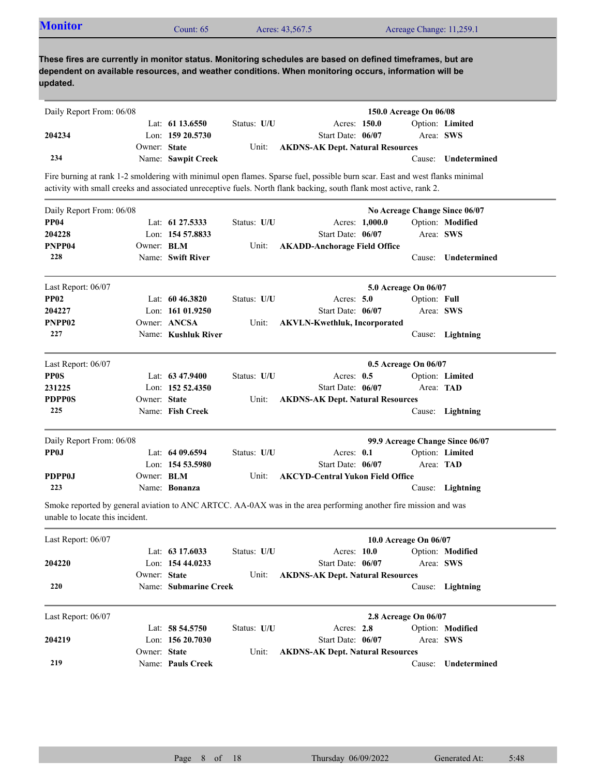| <b>Monitor</b>                                                                                                                                                                                                                  |                   | Count: 65             |             | Acres: 43,567.5 |                                         |                | Acreage Change: 11,259.1      |                                 |
|---------------------------------------------------------------------------------------------------------------------------------------------------------------------------------------------------------------------------------|-------------------|-----------------------|-------------|-----------------|-----------------------------------------|----------------|-------------------------------|---------------------------------|
| These fires are currently in monitor status. Monitoring schedules are based on defined timeframes, but are<br>dependent on available resources, and weather conditions. When monitoring occurs, information will be<br>updated. |                   |                       |             |                 |                                         |                |                               |                                 |
| Daily Report From: 06/08                                                                                                                                                                                                        |                   |                       |             |                 |                                         |                | 150.0 Acreage On 06/08        |                                 |
|                                                                                                                                                                                                                                 |                   | Lat: 61 13.6550       | Status: U/U |                 | Acres: 150.0                            |                |                               | Option: Limited                 |
| 204234                                                                                                                                                                                                                          | Owner: State      | Lon: 159 20.5730      |             |                 | Start Date: 06/07                       |                |                               | Area: SWS                       |
| 234                                                                                                                                                                                                                             |                   | Name: Sawpit Creek    | Unit:       |                 | <b>AKDNS-AK Dept. Natural Resources</b> |                |                               | Cause: Undetermined             |
| Fire burning at rank 1-2 smoldering with minimul open flames. Sparse fuel, possible burn scar. East and west flanks minimal                                                                                                     |                   |                       |             |                 |                                         |                |                               |                                 |
| activity with small creeks and associated unreceptive fuels. North flank backing, south flank most active, rank 2.                                                                                                              |                   |                       |             |                 |                                         |                |                               |                                 |
| Daily Report From: 06/08                                                                                                                                                                                                        |                   |                       |             |                 |                                         |                | No Acreage Change Since 06/07 |                                 |
| <b>PP04</b>                                                                                                                                                                                                                     |                   | Lat: 61 27.5333       | Status: U/U |                 |                                         | Acres: 1,000.0 |                               | Option: Modified                |
| 204228                                                                                                                                                                                                                          |                   | Lon: 154 57.8833      |             |                 | Start Date: 06/07                       |                |                               | Area: SWS                       |
| PNPP04                                                                                                                                                                                                                          | Owner: BLM        |                       | Unit:       |                 | <b>AKADD-Anchorage Field Office</b>     |                |                               |                                 |
| 228                                                                                                                                                                                                                             |                   | Name: Swift River     |             |                 |                                         |                |                               | Cause: Undetermined             |
| Last Report: 06/07                                                                                                                                                                                                              |                   |                       |             |                 |                                         |                | 5.0 Acreage On 06/07          |                                 |
| <b>PP02</b>                                                                                                                                                                                                                     |                   | Lat: 60 46.3820       | Status: U/U |                 | Acres: $5.0$                            |                | Option: Full                  |                                 |
| 204227                                                                                                                                                                                                                          |                   | Lon: $16101.9250$     |             |                 | Start Date: 06/07                       |                |                               | Area: SWS                       |
| PNPP02                                                                                                                                                                                                                          |                   | Owner: ANCSA          | Unit:       |                 | <b>AKVLN-Kwethluk, Incorporated</b>     |                |                               |                                 |
| 227                                                                                                                                                                                                                             |                   | Name: Kushluk River   |             |                 |                                         |                |                               | Cause: Lightning                |
| Last Report: 06/07                                                                                                                                                                                                              |                   |                       |             |                 |                                         |                | 0.5 Acreage On 06/07          |                                 |
| <b>PPOS</b>                                                                                                                                                                                                                     |                   | Lat: 63 47.9400       | Status: U/U |                 | Acres: $0.5$                            |                |                               | Option: Limited                 |
| 231225                                                                                                                                                                                                                          |                   | Lon: 152 52.4350      |             |                 | Start Date: 06/07                       |                | Area: TAD                     |                                 |
| <b>PDPP0S</b>                                                                                                                                                                                                                   | Owner: State      |                       | Unit:       |                 | <b>AKDNS-AK Dept. Natural Resources</b> |                |                               |                                 |
| 225                                                                                                                                                                                                                             |                   | Name: Fish Creek      |             |                 |                                         |                |                               | Cause: Lightning                |
| Daily Report From: 06/08                                                                                                                                                                                                        |                   |                       |             |                 |                                         |                |                               | 99.9 Acreage Change Since 06/07 |
| PP0J                                                                                                                                                                                                                            |                   | Lat: 64 09.6594       | Status: U/U |                 | Acres: 0.1                              |                | <b>Option:</b> Limited        |                                 |
|                                                                                                                                                                                                                                 |                   | Lon: 154 53.5980      |             |                 | Start Date: 06/07                       |                | Area: TAD                     |                                 |
| PDPP0J                                                                                                                                                                                                                          | Owner: <b>BLM</b> |                       | Unit:       |                 | <b>AKCYD-Central Yukon Field Office</b> |                |                               |                                 |
| 223                                                                                                                                                                                                                             |                   | Name: Bonanza         |             |                 |                                         |                |                               | Cause: Lightning                |
| Smoke reported by general aviation to ANC ARTCC. AA-0AX was in the area performing another fire mission and was<br>unable to locate this incident.                                                                              |                   |                       |             |                 |                                         |                |                               |                                 |
| Last Report: 06/07                                                                                                                                                                                                              |                   |                       |             |                 |                                         |                | 10.0 Acreage On 06/07         |                                 |
|                                                                                                                                                                                                                                 |                   | Lat: 63 17.6033       | Status: U/U |                 | Acres: 10.0                             |                |                               | Option: Modified                |
| 204220                                                                                                                                                                                                                          |                   | Lon: 154 44.0233      |             |                 | Start Date: 06/07                       |                |                               | Area: SWS                       |
|                                                                                                                                                                                                                                 | Owner: State      |                       | Unit:       |                 | <b>AKDNS-AK Dept. Natural Resources</b> |                |                               |                                 |
| 220                                                                                                                                                                                                                             |                   | Name: Submarine Creek |             |                 |                                         |                |                               | Cause: Lightning                |
| Last Report: 06/07                                                                                                                                                                                                              |                   |                       |             |                 |                                         |                | 2.8 Acreage On 06/07          |                                 |
|                                                                                                                                                                                                                                 |                   | Lat: 58 54.5750       | Status: U/U |                 | Acres: 2.8                              |                |                               | Option: Modified                |
| 204219                                                                                                                                                                                                                          |                   | Lon: 156 20.7030      |             |                 | Start Date: 06/07                       |                |                               | Area: SWS                       |
|                                                                                                                                                                                                                                 | Owner: State      |                       | Unit:       |                 | <b>AKDNS-AK Dept. Natural Resources</b> |                |                               |                                 |
| 219                                                                                                                                                                                                                             |                   | Name: Pauls Creek     |             |                 |                                         |                |                               | Cause: Undetermined             |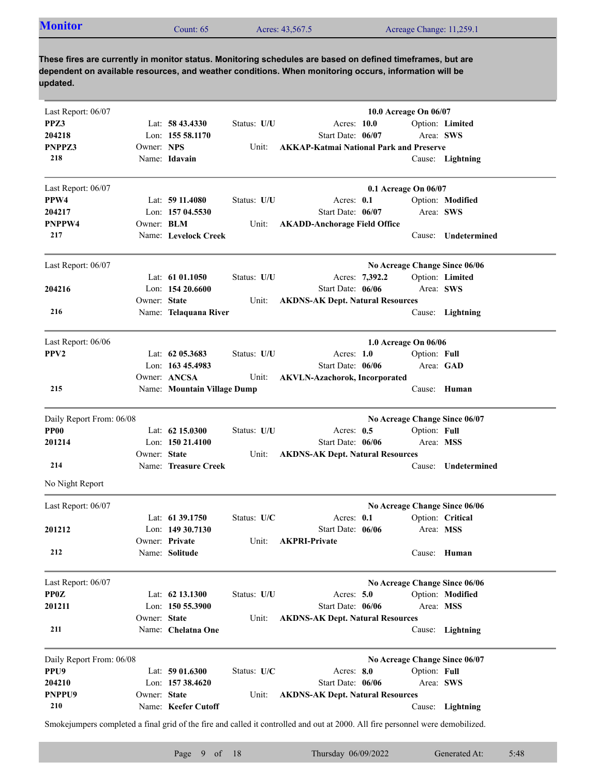| <b>Monitor</b><br>Acres: 43,567.5<br>Count: 65 | Acreage Change: 11,259.1 |
|------------------------------------------------|--------------------------|
|------------------------------------------------|--------------------------|

| Last Report: 06/07       |                   |                             |             |                                                                                                                                 | 10.0 Acreage On 06/07         |                     |
|--------------------------|-------------------|-----------------------------|-------------|---------------------------------------------------------------------------------------------------------------------------------|-------------------------------|---------------------|
| PPZ3                     |                   | Lat: $58\,43.4330$          | Status: U/U | Acres: 10.0                                                                                                                     |                               | Option: Limited     |
| 204218                   |                   | Lon: 155 58.1170            |             | Start Date: 06/07                                                                                                               |                               | Area: SWS           |
| PNPPZ3                   | Owner: NPS        |                             | Unit:       | <b>AKKAP-Katmai National Park and Preserve</b>                                                                                  |                               |                     |
| 218                      |                   | Name: Idavain               |             |                                                                                                                                 |                               | Cause: Lightning    |
| Last Report: 06/07       |                   |                             |             |                                                                                                                                 | 0.1 Acreage On 06/07          |                     |
| PPW4                     |                   | Lat: 59 11.4080             | Status: U/U | Acres: 0.1                                                                                                                      |                               | Option: Modified    |
| 204217                   |                   | Lon: 157 04.5530            |             | Start Date: 06/07                                                                                                               |                               | Area: SWS           |
| PNPPW4                   | Owner: <b>BLM</b> |                             | Unit:       | <b>AKADD-Anchorage Field Office</b>                                                                                             |                               |                     |
| 217                      |                   | Name: Levelock Creek        |             |                                                                                                                                 | Cause:                        | Undetermined        |
| Last Report: 06/07       |                   |                             |             |                                                                                                                                 | No Acreage Change Since 06/06 |                     |
|                          |                   | Lat: $61\,01.1050$          | Status: U/U | Acres: 7,392.2                                                                                                                  |                               | Option: Limited     |
| 204216                   |                   | Lon: $15420.6600$           |             | Start Date: 06/06                                                                                                               |                               | Area: SWS           |
|                          | Owner: State      |                             | Unit:       | <b>AKDNS-AK Dept. Natural Resources</b>                                                                                         |                               |                     |
| 216                      |                   | Name: Telaquana River       |             |                                                                                                                                 |                               | Cause: Lightning    |
| Last Report: 06/06       |                   |                             |             |                                                                                                                                 | 1.0 Acreage On 06/06          |                     |
| PPV <sub>2</sub>         |                   | Lat: $62\,05.3683$          | Status: U/U | Acres: $1.0$                                                                                                                    | Option: Full                  |                     |
|                          |                   | Lon: $16345.4983$           |             | Start Date: 06/06                                                                                                               |                               | Area: GAD           |
|                          |                   | Owner: ANCSA                | Unit:       | <b>AKVLN-Azachorok, Incorporated</b>                                                                                            |                               |                     |
| 215                      |                   | Name: Mountain Village Dump |             |                                                                                                                                 |                               | Cause: Human        |
| Daily Report From: 06/08 |                   |                             |             |                                                                                                                                 | No Acreage Change Since 06/07 |                     |
| PP00                     |                   | Lat: 62 15.0300             | Status: U/U | Acres: $0.5$                                                                                                                    | Option: Full                  |                     |
| 201214                   |                   | Lon: $15021.4100$           |             | Start Date: 06/06                                                                                                               |                               | Area: MSS           |
|                          | Owner: State      |                             | Unit:       | <b>AKDNS-AK Dept. Natural Resources</b>                                                                                         |                               |                     |
| 214                      |                   | Name: Treasure Creek        |             |                                                                                                                                 |                               | Cause: Undetermined |
| No Night Report          |                   |                             |             |                                                                                                                                 |                               |                     |
| Last Report: 06/07       |                   |                             |             |                                                                                                                                 | No Acreage Change Since 06/06 |                     |
|                          |                   | Lat: 61 39.1750             | Status: U/C | Acres: 0.1                                                                                                                      |                               | Option: Critical    |
| 201212                   |                   | Lon: 149 30.7130            |             | Start Date: 06/06                                                                                                               |                               | Area: MSS           |
|                          |                   | Owner: Private              | Unit:       | <b>AKPRI-Private</b>                                                                                                            |                               |                     |
| 212                      |                   | Name: Solitude              |             |                                                                                                                                 |                               | Cause: Human        |
| Last Report: 06/07       |                   |                             |             |                                                                                                                                 | No Acreage Change Since 06/06 |                     |
| <b>PP0Z</b>              |                   | Lat: 62 13.1300             | Status: U/U | Acres: $5.0$                                                                                                                    |                               | Option: Modified    |
| 201211                   |                   | Lon: $1505.3900$            |             | Start Date: 06/06                                                                                                               |                               | Area: MSS           |
|                          | Owner: State      |                             | Unit:       | <b>AKDNS-AK Dept. Natural Resources</b>                                                                                         |                               |                     |
| 211                      |                   | Name: Chelatna One          |             |                                                                                                                                 |                               | Cause: Lightning    |
| Daily Report From: 06/08 |                   |                             |             |                                                                                                                                 | No Acreage Change Since 06/07 |                     |
| PPU <sub>9</sub>         |                   | Lat: $5901.6300$            | Status: U/C | Acres: 8.0                                                                                                                      | Option: Full                  |                     |
| <b>204210</b>            |                   | Lon: $15738.4620$           |             | Start Date: 06/06                                                                                                               |                               | Area: SWS           |
| PNPPU9                   | Owner: State      |                             | Unit:       | <b>AKDNS-AK Dept. Natural Resources</b>                                                                                         |                               |                     |
| 210                      |                   | Name: Keefer Cutoff         |             |                                                                                                                                 |                               | Cause: Lightning    |
|                          |                   |                             |             | Smoke jumpers completed a final grid of the fire and called it controlled and out at 2000. All fire personnel were demobilized. |                               |                     |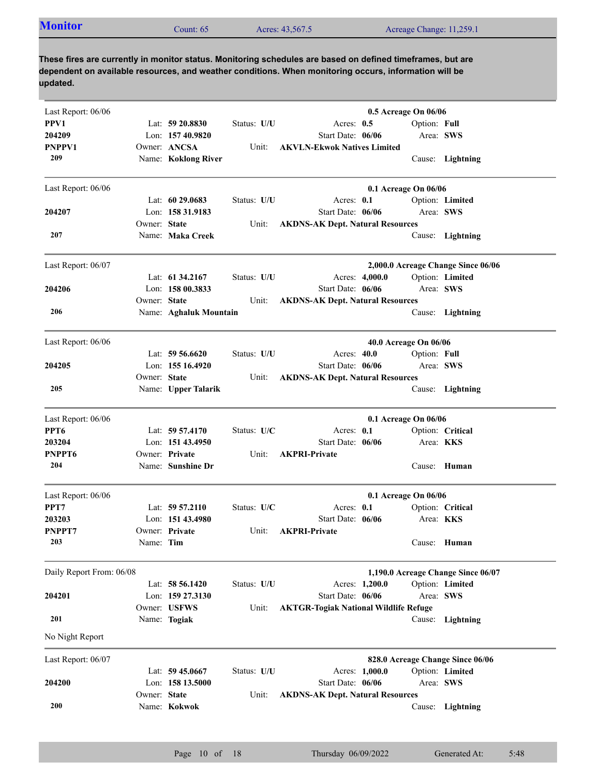| <b>Monitor</b><br>Acreage Change: 11,259.1<br>Acres: 43,567.5<br>Count: 65 |
|----------------------------------------------------------------------------|
|----------------------------------------------------------------------------|

| Last Report: 06/06       |              |                        |             |                                              | 0.5 Acreage On 06/06             |                                    |
|--------------------------|--------------|------------------------|-------------|----------------------------------------------|----------------------------------|------------------------------------|
| PPV1                     |              | Lat: $59\,20.8830$     | Status: U/U | Acres: 0.5                                   | Option: Full                     |                                    |
| 204209                   |              | Lon: 157 40.9820       |             | Start Date: 06/06                            | Area: SWS                        |                                    |
| PNPPV1                   |              | Owner: ANCSA           | Unit:       | <b>AKVLN-Ekwok Natives Limited</b>           |                                  |                                    |
| 209                      |              | Name: Koklong River    |             |                                              |                                  | Cause: Lightning                   |
| Last Report: 06/06       |              |                        |             |                                              | 0.1 Acreage On 06/06             |                                    |
|                          |              | Lat: $6029.0683$       | Status: U/U | Acres: 0.1                                   |                                  | Option: Limited                    |
| 204207                   |              | Lon: 158 31.9183       |             | Start Date: 06/06                            | Area: SWS                        |                                    |
|                          | Owner: State |                        | Unit:       | <b>AKDNS-AK Dept. Natural Resources</b>      |                                  |                                    |
| 207                      |              | Name: Maka Creek       |             |                                              |                                  | Cause: Lightning                   |
| Last Report: 06/07       |              |                        |             |                                              |                                  | 2,000.0 Acreage Change Since 06/06 |
|                          |              | Lat: $61\,34.2167$     | Status: U/U | Acres: 4,000.0                               |                                  | Option: Limited                    |
| 204206                   |              | Lon: $15800.3833$      |             | Start Date: 06/06                            | Area: SWS                        |                                    |
|                          | Owner: State |                        | Unit:       | <b>AKDNS-AK Dept. Natural Resources</b>      |                                  |                                    |
| 206                      |              | Name: Aghaluk Mountain |             |                                              |                                  | Cause: Lightning                   |
| Last Report: 06/06       |              |                        |             |                                              | 40.0 Acreage On 06/06            |                                    |
|                          |              | Lat: $59\,56.6620$     | Status: U/U | Acres: 40.0                                  | Option: Full                     |                                    |
| 204205                   |              | Lon: 155 16.4920       |             | Start Date: 06/06                            | Area: SWS                        |                                    |
|                          | Owner: State |                        | Unit:       | <b>AKDNS-AK Dept. Natural Resources</b>      |                                  |                                    |
| 205                      |              | Name: Upper Talarik    |             |                                              |                                  | Cause: Lightning                   |
| Last Report: 06/06       |              |                        |             |                                              | 0.1 Acreage On 06/06             |                                    |
| PPT <sub>6</sub>         |              | Lat: 59 57.4170        | Status: U/C | Acres: 0.1                                   |                                  | Option: Critical                   |
| 203204                   |              | Lon: $15143.4950$      |             | Start Date: 06/06                            | Area: <b>KKS</b>                 |                                    |
| PNPPT6                   |              | Owner: Private         | Unit:       | <b>AKPRI-Private</b>                         |                                  |                                    |
| 204                      |              | Name: Sunshine Dr      |             |                                              |                                  | Cause: Human                       |
| Last Report: 06/06       |              |                        |             |                                              | 0.1 Acreage On 06/06             |                                    |
| PPT7                     |              | Lat: $59\,57.2110$     | Status: U/C | Acres: $0.1$                                 |                                  | Option: Critical                   |
| 203203                   |              | Lon: $15143.4980$      |             | Start Date: 06/06                            | Area: <b>KKS</b>                 |                                    |
| PNPPT7                   |              | Owner: Private         | Unit:       | <b>AKPRI-Private</b>                         |                                  |                                    |
| 203                      | Name: Tim    |                        |             |                                              |                                  | Cause: Human                       |
| Daily Report From: 06/08 |              |                        |             |                                              |                                  | 1,190.0 Acreage Change Since 06/07 |
|                          |              | Lat: $58\,56.1420$     | Status: U/U | Acres: 1,200.0                               |                                  | Option: Limited                    |
| 204201                   |              | Lon: 159 27.3130       |             | Start Date: 06/06                            | Area: SWS                        |                                    |
|                          |              | Owner: USFWS           | Unit:       | <b>AKTGR-Togiak National Wildlife Refuge</b> |                                  |                                    |
| 201                      |              | Name: Togiak           |             |                                              |                                  | Cause: Lightning                   |
| No Night Report          |              |                        |             |                                              |                                  |                                    |
| Last Report: 06/07       |              |                        |             |                                              | 828.0 Acreage Change Since 06/06 |                                    |
|                          |              | Lat: $59\,45.0667$     | Status: U/U | Acres: 1,000.0                               |                                  | Option: Limited                    |
| 204200                   |              | Lon: 158 13.5000       |             | Start Date: 06/06                            | Area: SWS                        |                                    |
| 200                      | Owner: State |                        | Unit:       | <b>AKDNS-AK Dept. Natural Resources</b>      |                                  |                                    |
|                          |              | Name: Kokwok           |             |                                              |                                  | Cause: Lightning                   |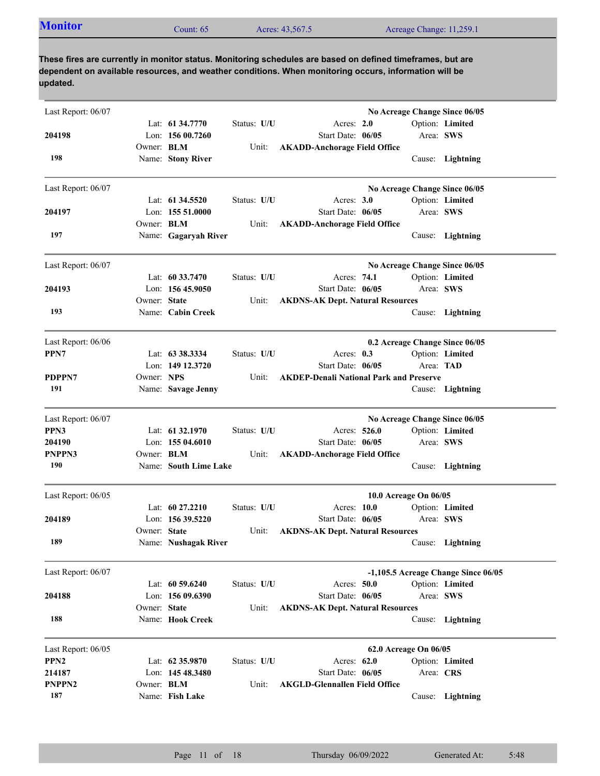| Last Report: 06/07 |                   |                                      |             |                                                |           | No Acreage Change Since 06/05       |
|--------------------|-------------------|--------------------------------------|-------------|------------------------------------------------|-----------|-------------------------------------|
| 204198             |                   | Lat: 61 34,7770<br>Lon: $15600.7260$ | Status: U/U | Acres: 2.0<br>Start Date: 06/05                | Area: SWS | Option: Limited                     |
|                    | Owner: <b>BLM</b> |                                      | Unit:       | <b>AKADD-Anchorage Field Office</b>            |           |                                     |
| 198                |                   | Name: Stony River                    |             |                                                |           | Cause: Lightning                    |
| Last Report: 06/07 |                   |                                      |             |                                                |           | No Acreage Change Since 06/05       |
|                    |                   | Lat: 61 34.5520                      | Status: U/U | Acres: $3.0$                                   |           | Option: Limited                     |
| 204197             |                   | Lon: 155 51.0000                     |             | Start Date: 06/05                              | Area: SWS |                                     |
|                    | Owner: <b>BLM</b> |                                      | Unit:       | <b>AKADD-Anchorage Field Office</b>            |           |                                     |
| 197                |                   | Name: Gagaryah River                 |             |                                                |           | Cause: Lightning                    |
| Last Report: 06/07 |                   |                                      |             |                                                |           | No Acreage Change Since 06/05       |
|                    |                   | Lat: $60\,33.7470$                   | Status: U/U | Acres: 74.1                                    |           | Option: Limited                     |
| 204193             |                   | Lon: 156 45.9050                     |             | Start Date: 06/05                              | Area: SWS |                                     |
|                    | Owner: State      |                                      | Unit:       | <b>AKDNS-AK Dept. Natural Resources</b>        |           |                                     |
| 193                |                   | Name: Cabin Creek                    |             |                                                |           | Cause: Lightning                    |
| Last Report: 06/06 |                   |                                      |             |                                                |           | 0.2 Acreage Change Since 06/05      |
| PPN7               |                   | Lat: 63 38.3334                      | Status: U/U | Acres: $0.3$                                   |           | Option: Limited                     |
|                    |                   | Lon: 149 12.3720                     |             | Start Date: 06/05                              | Area: TAD |                                     |
| PDPPN7             | Owner: NPS        |                                      | Unit:       | <b>AKDEP-Denali National Park and Preserve</b> |           |                                     |
| 191                |                   | Name: Savage Jenny                   |             |                                                |           | Cause: Lightning                    |
| Last Report: 06/07 |                   |                                      |             |                                                |           | No Acreage Change Since 06/05       |
| PPN3               |                   | Lat: 61 32.1970                      | Status: U/U | Acres: 526.0                                   |           | Option: Limited                     |
| 204190             |                   | Lon: 155 04.6010                     |             | Start Date: 06/05                              | Area: SWS |                                     |
| PNPPN3             | Owner: <b>BLM</b> |                                      | Unit:       | <b>AKADD-Anchorage Field Office</b>            |           |                                     |
| 190                |                   | Name: South Lime Lake                |             |                                                |           | Cause: Lightning                    |
| Last Report: 06/05 |                   |                                      |             | 10.0 Acreage On 06/05                          |           |                                     |
|                    |                   | Lat: $60\,27.2210$                   | Status: U/U | Acres: 10.0                                    |           | Option: Limited                     |
| 204189             |                   | Lon: $15639.5220$                    |             | Start Date: 06/05                              | Area: SWS |                                     |
|                    | Owner: State      |                                      | Unit:       | <b>AKDNS-AK Dept. Natural Resources</b>        |           |                                     |
| 189                |                   | Name: Nushagak River                 |             |                                                |           | Cause: Lightning                    |
| Last Report: 06/07 |                   |                                      |             |                                                |           | -1,105.5 Acreage Change Since 06/05 |
|                    |                   | Lat: 60 59.6240                      | Status: U/U | Acres: 50.0                                    |           | Option: Limited                     |
| 204188             |                   | Lon: 156 09.6390                     |             | Start Date: 06/05                              | Area: SWS |                                     |
|                    | Owner: State      |                                      | Unit:       | <b>AKDNS-AK Dept. Natural Resources</b>        |           |                                     |
| 188                |                   | Name: Hook Creek                     |             |                                                | Cause:    | Lightning                           |
| Last Report: 06/05 |                   |                                      |             | 62.0 Acreage On 06/05                          |           |                                     |
| PPN <sub>2</sub>   |                   | Lat: 62 35.9870                      | Status: U/U | Acres: 62.0                                    |           | Option: Limited                     |
| 214187             |                   | Lon: $14548.3480$                    |             | Start Date: 06/05                              | Area: CRS |                                     |
| PNPPN <sub>2</sub> | Owner: <b>BLM</b> |                                      | Unit:       | <b>AKGLD-Glennallen Field Office</b>           |           |                                     |
| 187                |                   | Name: Fish Lake                      |             |                                                |           | Cause: Lightning                    |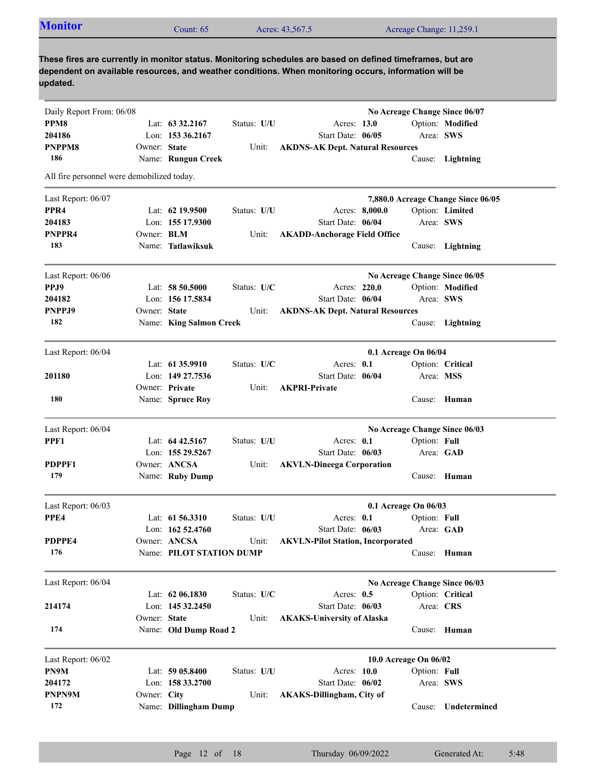| <b>Monitor</b>                               |                   | Count: 65                |               | Acres: 43,567.5                                                                                            |                      |              | Acreage Change: 11,259.1           |
|----------------------------------------------|-------------------|--------------------------|---------------|------------------------------------------------------------------------------------------------------------|----------------------|--------------|------------------------------------|
|                                              |                   |                          |               |                                                                                                            |                      |              |                                    |
|                                              |                   |                          |               | These fires are currently in monitor status. Monitoring schedules are based on defined timeframes, but are |                      |              |                                    |
|                                              |                   |                          |               | dependent on available resources, and weather conditions. When monitoring occurs, information will be      |                      |              |                                    |
| updated.                                     |                   |                          |               |                                                                                                            |                      |              |                                    |
|                                              |                   |                          |               |                                                                                                            |                      |              | No Acreage Change Since 06/07      |
| Daily Report From: 06/08<br>PPM <sub>8</sub> |                   | Lat: $63\,32.2167$       | Status: U/U   | Acres: 13.0                                                                                                |                      |              | Option: Modified                   |
| 204186                                       |                   | Lon: $15336.2167$        |               | Start Date: 06/05                                                                                          |                      | Area: SWS    |                                    |
| <b>PNPPM8</b>                                | Owner: State      |                          | Unit:         | <b>AKDNS-AK Dept. Natural Resources</b>                                                                    |                      |              |                                    |
| 186                                          |                   | Name: Rungun Creek       |               |                                                                                                            |                      |              | Cause: Lightning                   |
| All fire personnel were demobilized today.   |                   |                          |               |                                                                                                            |                      |              |                                    |
| Last Report: 06/07                           |                   |                          |               |                                                                                                            |                      |              | 7,880.0 Acreage Change Since 06/05 |
| PPR <sub>4</sub>                             |                   | Lat: $62$ 19.9500        | Status: U/U   | Acres: 8,000.0                                                                                             |                      |              | Option: Limited                    |
| 204183                                       |                   | Lon: 155 17.9300         |               | Start Date: 06/04                                                                                          |                      | Area: SWS    |                                    |
| PNPPR4                                       | Owner: <b>BLM</b> |                          | Unit:         | <b>AKADD-Anchorage Field Office</b>                                                                        |                      |              |                                    |
| 183                                          |                   | Name: Tatlawiksuk        |               |                                                                                                            |                      |              | Cause: Lightning                   |
| Last Report: 06/06                           |                   |                          |               |                                                                                                            |                      |              | No Acreage Change Since 06/05      |
| PPJ9                                         |                   | Lat: 58 50.5000          | Status: U/C   | Acres: 220.0                                                                                               |                      |              | Option: Modified                   |
| 204182                                       |                   | Lon: 156 17.5834         |               | Start Date: 06/04                                                                                          |                      | Area: SWS    |                                    |
| PNPPJ9                                       | Owner: State      |                          | Unit:         | <b>AKDNS-AK Dept. Natural Resources</b>                                                                    |                      |              |                                    |
| 182                                          |                   | Name: King Salmon Creek  |               |                                                                                                            |                      |              | Cause: Lightning                   |
|                                              |                   |                          |               |                                                                                                            |                      |              |                                    |
| Last Report: 06/04                           |                   |                          |               |                                                                                                            | 0.1 Acreage On 06/04 |              |                                    |
|                                              |                   | Lat: $61\,35.9910$       | Status: $U/C$ | Acres: 0.1                                                                                                 |                      |              | Option: Critical                   |
| 201180                                       |                   | Lon: 149 27.7536         |               | Start Date: 06/04                                                                                          |                      | Area: MSS    |                                    |
|                                              |                   | Owner: Private           | Unit:         | <b>AKPRI-Private</b>                                                                                       |                      |              |                                    |
| 180                                          |                   | Name: Spruce Roy         |               |                                                                                                            |                      |              | Cause: Human                       |
| Last Report: 06/04                           |                   |                          |               |                                                                                                            |                      |              | No Acreage Change Since 06/03      |
| PPF1                                         |                   | Lat: 64 42.5167          | Status: U/U   | Acres: 0.1                                                                                                 |                      | Option: Full |                                    |
|                                              |                   | Lon: 155 29.5267         |               | Start Date: 06/03                                                                                          |                      |              | Area: GAD                          |
| PDPPF1                                       |                   | Owner: ANCSA             | Unit:         | <b>AKVLN-Dineega Corporation</b>                                                                           |                      |              |                                    |
| 179                                          |                   | Name: Ruby Dump          |               |                                                                                                            |                      |              | Cause: Human                       |
| Last Report: 06/03                           |                   |                          |               |                                                                                                            | 0.1 Acreage On 06/03 |              |                                    |
| PPE4                                         |                   | Lat: 61 56.3310          | Status: U/U   | Acres: 0.1                                                                                                 |                      | Option: Full |                                    |
|                                              |                   | Lon: 162 52.4760         |               | Start Date: 06/03                                                                                          |                      | Area: GAD    |                                    |
| PDPPE4                                       |                   | Owner: ANCSA             | Unit:         | <b>AKVLN-Pilot Station, Incorporated</b>                                                                   |                      |              |                                    |
| 176                                          |                   | Name: PILOT STATION DUMP |               |                                                                                                            |                      |              | Cause: Human                       |

| Last Report: 06/04   |              |                       |               |                                   |                       | No Acreage Change Since 06/03 |
|----------------------|--------------|-----------------------|---------------|-----------------------------------|-----------------------|-------------------------------|
|                      |              | Lat: $62\,06.1830$    | Status: $U/C$ | Acres: $0.5$                      |                       | Option: Critical              |
| 214174               |              | Lon: $14532.2450$     |               | Start Date: $06/03$               | Area: CRS             |                               |
|                      | Owner: State |                       | Unit:         | <b>AKAKS-University of Alaska</b> |                       |                               |
| 174                  |              | Name: Old Dump Road 2 |               |                                   |                       | Cause: Human                  |
| Last Report: $06/02$ |              |                       |               |                                   | 10.0 Acreage On 06/02 |                               |
| PN9M                 |              | Lat: $5905.8400$      | Status: U/U   | Acres: $10.0$                     | Option: Full          |                               |
| 204172               |              | Lon: $15833.2700$     |               | Start Date: $06/02$               | Area: SWS             |                               |
| <b>PNPN9M</b>        | Owner: City  |                       | Unit:         | <b>AKAKS-Dillingham, City of</b>  |                       |                               |
| 172                  |              | Name: Dillingham Dump |               |                                   | Cause:                | <b>Undetermined</b>           |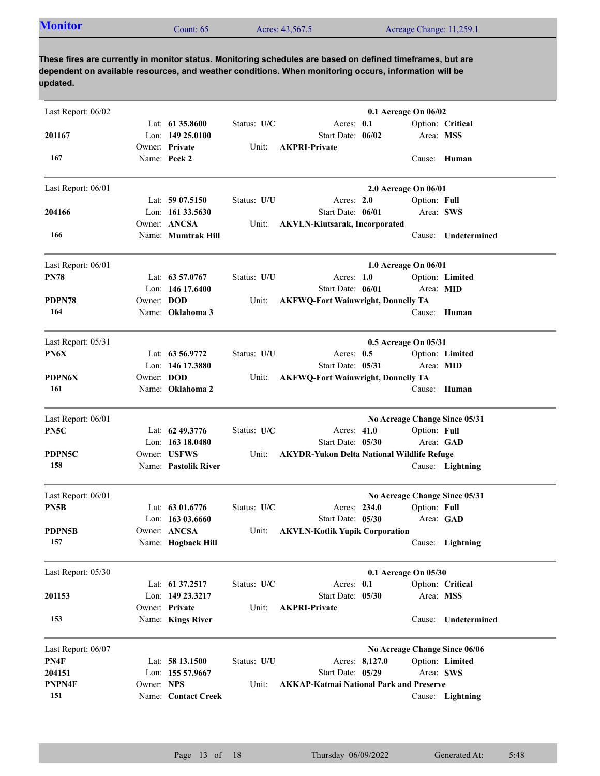| <b>Monitor</b> | Count: 65 | Acres: 43,567.5 | Acreage Change: 11,259.1 |
|----------------|-----------|-----------------|--------------------------|
|                |           |                 |                          |

| Last Report: 06/02   |            |                                     |             | 0.1 Acreage On 06/02                                                   |              |                               |
|----------------------|------------|-------------------------------------|-------------|------------------------------------------------------------------------|--------------|-------------------------------|
|                      |            | Lat: $61\,35.8600$                  | Status: U/C | Acres: 0.1                                                             |              | Option: Critical              |
| 201167               |            | Lon: $14925.0100$                   |             | Start Date: 06/02                                                      | Area: MSS    |                               |
| 167                  |            | Owner: Private<br>Name: Peck 2      | Unit:       | <b>AKPRI-Private</b>                                                   |              | Cause: Human                  |
| Last Report: 06/01   |            |                                     |             | 2.0 Acreage On 06/01                                                   |              |                               |
|                      |            | Lat: $5907.5150$                    | Status: U/U | Acres: 2.0                                                             | Option: Full |                               |
| 204166               |            | Lon: 161 33.5630                    |             | Start Date: 06/01                                                      | Area: SWS    |                               |
| 166                  |            | Owner: ANCSA<br>Name: Mumtrak Hill  | Unit:       | <b>AKVLN-Kiutsarak, Incorporated</b>                                   | Cause:       | Undetermined                  |
| Last Report: 06/01   |            |                                     |             | 1.0 Acreage On 06/01                                                   |              |                               |
| <b>PN78</b>          |            | Lat: 63 57.0767                     | Status: U/U | Acres: $1.0$                                                           |              | Option: Limited               |
|                      |            | Lon: 146 17.6400                    |             | Start Date: 06/01                                                      | Area: MID    |                               |
| PDPN78               | Owner: DOD |                                     | Unit:       | <b>AKFWQ-Fort Wainwright, Donnelly TA</b>                              |              |                               |
| 164                  |            | Name: Oklahoma 3                    |             |                                                                        |              | Cause: Human                  |
| Last Report: 05/31   |            |                                     |             | 0.5 Acreage On 05/31                                                   |              |                               |
| PN6X                 |            | Lat: 63 56.9772                     | Status: U/U | Acres: $0.5$                                                           |              | Option: Limited               |
|                      |            | Lon: 146 17.3880                    |             | Start Date: 05/31                                                      | Area: MID    |                               |
| <b>PDPN6X</b><br>161 | Owner: DOD | Name: Oklahoma 2                    | Unit:       | <b>AKFWQ-Fort Wainwright, Donnelly TA</b>                              |              | Cause: Human                  |
|                      |            |                                     |             |                                                                        |              |                               |
| Last Report: 06/01   |            |                                     |             |                                                                        |              | No Acreage Change Since 05/31 |
| PN5C                 |            | Lat: 62 49.3776                     | Status: U/C | Acres: 41.0                                                            | Option: Full |                               |
| PDPN5C               |            | Lon: 163 18.0480<br>Owner: USFWS    | Unit:       | Start Date: 05/30<br><b>AKYDR-Yukon Delta National Wildlife Refuge</b> | Area: GAD    |                               |
| 158                  |            | Name: Pastolik River                |             |                                                                        |              | Cause: Lightning              |
| Last Report: 06/01   |            |                                     |             |                                                                        |              | No Acreage Change Since 05/31 |
| PN5B                 |            | Lat: 63 01.6776                     | Status: U/C | Acres: 234.0                                                           | Option: Full |                               |
|                      |            | Lon: 163 03.6660                    |             | Start Date: 05/30                                                      | Area: GAD    |                               |
| PDPN5B               |            | Owner: ANCSA                        | Unit:       | <b>AKVLN-Kotlik Yupik Corporation</b>                                  |              |                               |
| 157                  |            | Name: Hogback Hill                  |             |                                                                        |              | Cause: Lightning              |
| Last Report: 05/30   |            |                                     |             | 0.1 Acreage On 05/30                                                   |              |                               |
|                      |            | Lat: 61 37.2517                     | Status: U/C | Acres: 0.1                                                             |              | Option: Critical              |
| 201153               |            | Lon: 149 23.3217                    |             | Start Date: 05/30                                                      | Area: MSS    |                               |
| 153                  |            | Owner: Private<br>Name: Kings River | Unit:       | <b>AKPRI-Private</b>                                                   | Cause:       | Undetermined                  |
| Last Report: 06/07   |            |                                     |             |                                                                        |              | No Acreage Change Since 06/06 |
| PN4F                 |            | Lat: 58 13.1500                     | Status: U/U | Acres: 8,127.0                                                         |              | Option: Limited               |
| 204151               |            | Lon: 155 57.9667                    |             | Start Date: 05/29                                                      | Area: SWS    |                               |
| PNPN4F               | Owner: NPS |                                     | Unit:       | <b>AKKAP-Katmai National Park and Preserve</b>                         |              |                               |
| 151                  |            | Name: Contact Creek                 |             |                                                                        |              | Cause: Lightning              |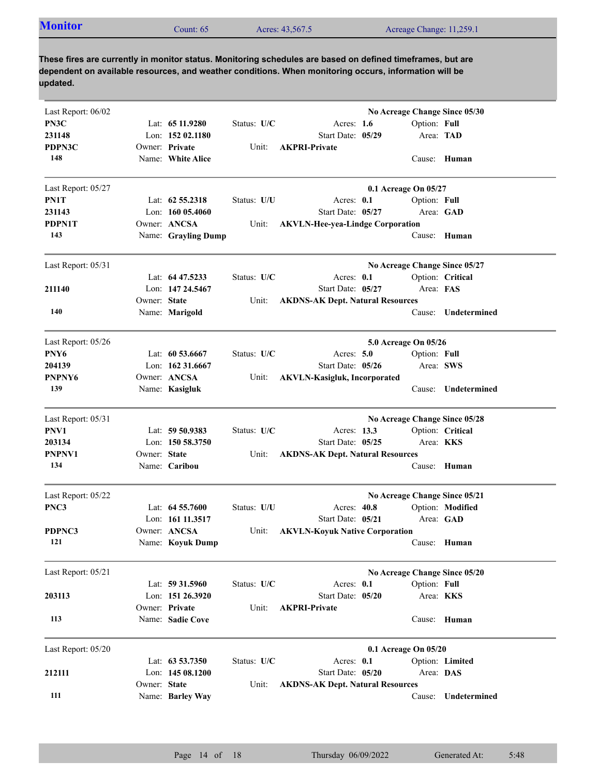| <b>Monitor</b> | Count: $65$ | Acres: 43,567.5 | Acreage Change: 11,259.1 |
|----------------|-------------|-----------------|--------------------------|
|----------------|-------------|-----------------|--------------------------|

| Last Report: 06/02 |              |                     |             | No Acreage Change Since 05/30                  |
|--------------------|--------------|---------------------|-------------|------------------------------------------------|
| PN3C               |              | Lat: $6511.9280$    | Status: U/C | Acres: $1.6$<br>Option: Full                   |
| 231148             |              | Lon: $15202.1180$   |             | Start Date: 05/29<br>Area: TAD                 |
| PDPN3C             |              | Owner: Private      | Unit:       | <b>AKPRI-Private</b>                           |
| 148                |              | Name: White Alice   |             | Cause: Human                                   |
|                    |              |                     |             |                                                |
| Last Report: 05/27 |              |                     |             | 0.1 Acreage On 05/27                           |
| PN1T               |              | Lat: $62\,55.2318$  | Status: U/U | Acres: 0.1<br>Option: Full                     |
| 231143             |              | Lon: $16005.4060$   |             | Start Date: 05/27<br>Area: GAD                 |
| PDPN1T             |              | Owner: ANCSA        | Unit:       | <b>AKVLN-Hee-yea-Lindge Corporation</b>        |
| 143                |              | Name: Grayling Dump |             | Cause: Human                                   |
|                    |              |                     |             |                                                |
| Last Report: 05/31 |              |                     |             | No Acreage Change Since 05/27                  |
|                    |              | Lat: 64 47.5233     | Status: U/C | Acres: 0.1<br>Option: Critical                 |
| 211140             |              | Lon: 147 24.5467    |             | Start Date: 05/27<br>Area: FAS                 |
|                    | Owner: State |                     | Unit:       | <b>AKDNS-AK Dept. Natural Resources</b>        |
| 140                |              | Name: Marigold      |             | Undetermined<br>Cause:                         |
|                    |              |                     |             |                                                |
| Last Report: 05/26 |              |                     |             | 5.0 Acreage On 05/26                           |
| PNY <sub>6</sub>   |              | Lat: $60\,53.6667$  | Status: U/C | Acres: $5.0$<br>Option: Full                   |
| 204139             |              | Lon: 162 31.6667    |             | Start Date: 05/26<br>Area: SWS                 |
| PNPNY6             |              | Owner: ANCSA        | Unit:       | <b>AKVLN-Kasigluk, Incorporated</b>            |
| 139                |              | Name: Kasigluk      |             | Undetermined<br>Cause:                         |
| Last Report: 05/31 |              |                     |             | No Acreage Change Since 05/28                  |
| PNV1               |              | Lat: 59 50.9383     | Status: U/C | Option: Critical<br>Acres: 13.3                |
| 203134             |              | Lon: $15058.3750$   |             | Start Date: 05/25<br>Area: KKS                 |
| PNPNV1             | Owner: State |                     | Unit:       | <b>AKDNS-AK Dept. Natural Resources</b>        |
| 134                |              | Name: Caribou       |             | Cause: Human                                   |
|                    |              |                     |             |                                                |
| Last Report: 05/22 |              | Lat: $64\,55.7600$  |             | No Acreage Change Since 05/21<br>Acres: $40.8$ |
| PNC3               |              | Lon: 161 11.3517    | Status: U/U | Option: Modified<br>Area: GAD                  |
|                    |              |                     |             | Start Date: 05/21                              |
| PDPNC3             |              | Owner: ANCSA        | Unit:       | <b>AKVLN-Koyuk Native Corporation</b>          |
| 121                |              | Name: Koyuk Dump    |             | Cause: Human                                   |
| Last Report: 05/21 |              |                     |             | No Acreage Change Since 05/20                  |
|                    |              | Lat: 59 31.5960     | Status: U/C | Option: Full<br>Acres: 0.1                     |
| 203113             |              | Lon: 151 26.3920    |             | Start Date: 05/20<br>Area: KKS                 |
|                    |              | Owner: Private      | Unit:       | <b>AKPRI-Private</b>                           |
| 113                |              | Name: Sadie Cove    |             | Cause: Human                                   |
|                    |              |                     |             |                                                |
| Last Report: 05/20 |              | Lat: 63 53.7350     |             | 0.1 Acreage On 05/20<br>Acres: 0.1             |
|                    |              |                     | Status: U/C | Option: Limited                                |
| 212111             |              | Lon: 145 08.1200    |             | Start Date: 05/20<br>Area: DAS                 |
| 111                | Owner: State |                     | Unit:       | <b>AKDNS-AK Dept. Natural Resources</b>        |
|                    |              | Name: Barley Way    |             | Undetermined<br>Cause:                         |
|                    |              |                     |             |                                                |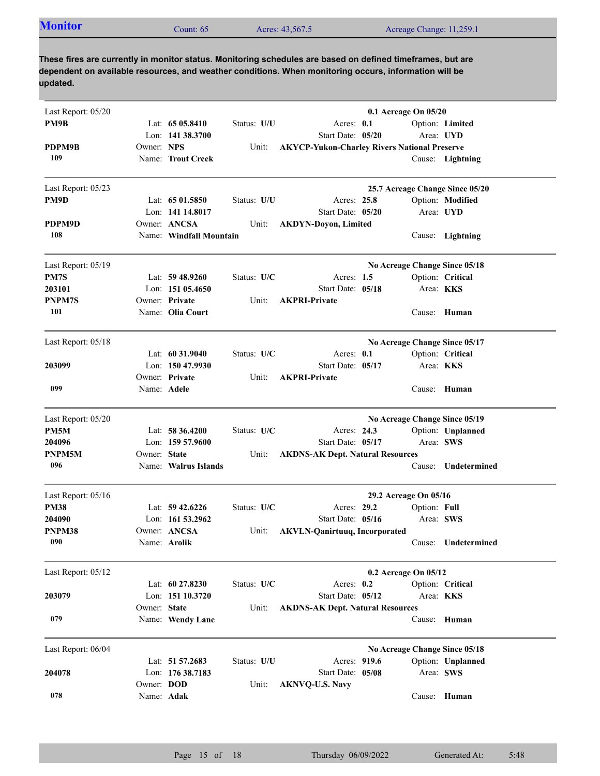| <b>Monitor</b><br>Acreage Change: 11,259.1<br>Count: $65$<br>Acres: 43,567.5 |  |
|------------------------------------------------------------------------------|--|
|------------------------------------------------------------------------------|--|

| Last Report: 05/20 |                   |                         |             |                                                     | 0.1 Acreage On 05/20  |              |                                 |
|--------------------|-------------------|-------------------------|-------------|-----------------------------------------------------|-----------------------|--------------|---------------------------------|
| PM9B               |                   | Lat: $6505.8410$        | Status: U/U | Acres: 0.1                                          |                       |              | Option: Limited                 |
|                    |                   | Lon: 141 38.3700        |             | Start Date: 05/20                                   |                       |              | Area: UYD                       |
| PDPM9B             | Owner: NPS        |                         | Unit:       | <b>AKYCP-Yukon-Charley Rivers National Preserve</b> |                       |              |                                 |
| 109                |                   | Name: Trout Creek       |             |                                                     |                       |              | Cause: Lightning                |
| Last Report: 05/23 |                   |                         |             |                                                     |                       |              | 25.7 Acreage Change Since 05/20 |
| PM9D               |                   | Lat: $6501.5850$        | Status: U/U | Acres: 25.8                                         |                       |              | Option: Modified                |
|                    |                   | Lon: 141 14.8017        |             | Start Date: 05/20                                   |                       |              | Area: UYD                       |
| PDPM9D             |                   | Owner: ANCSA            | Unit:       | <b>AKDYN-Doyon, Limited</b>                         |                       |              |                                 |
| 108                |                   | Name: Windfall Mountain |             |                                                     |                       |              | Cause: Lightning                |
| Last Report: 05/19 |                   |                         |             |                                                     |                       |              | No Acreage Change Since 05/18   |
| PM7S               |                   | Lat: $59\,48.9260$      | Status: U/C | Acres: 1.5                                          |                       |              | Option: Critical                |
| 203101             |                   | Lon: 151 05.4650        |             | Start Date: 05/18                                   |                       |              | Area: <b>KKS</b>                |
| PNPM7S             |                   | Owner: Private          | Unit:       | <b>AKPRI-Private</b>                                |                       |              |                                 |
| 101                |                   | Name: Olia Court        |             |                                                     |                       |              | Cause: Human                    |
| Last Report: 05/18 |                   |                         |             |                                                     |                       |              | No Acreage Change Since 05/17   |
|                    |                   | Lat: $60\,31.9040$      | Status: U/C | Acres: $0.1$                                        |                       |              | Option: Critical                |
| 203099             |                   | Lon: 150 47.9930        |             | Start Date: 05/17                                   |                       | Area: KKS    |                                 |
|                    |                   | Owner: Private          | Unit:       | <b>AKPRI-Private</b>                                |                       |              |                                 |
| 099                | Name: Adele       |                         |             |                                                     |                       | Cause:       | Human                           |
| Last Report: 05/20 |                   |                         |             |                                                     |                       |              | No Acreage Change Since 05/19   |
| PM5M               |                   | Lat: 58 36.4200         | Status: U/C | Acres: 24.3                                         |                       |              | Option: Unplanned               |
| 204096             |                   | Lon: $15957.9600$       |             | Start Date: 05/17                                   |                       | Area: SWS    |                                 |
| PNPM5M             | Owner: State      |                         | Unit:       | <b>AKDNS-AK Dept. Natural Resources</b>             |                       |              |                                 |
| 096                |                   | Name: Walrus Islands    |             |                                                     |                       | Cause:       | Undetermined                    |
| Last Report: 05/16 |                   |                         |             |                                                     | 29.2 Acreage On 05/16 |              |                                 |
| <b>PM38</b>        |                   | Lat: $59\,42.6226$      | Status: U/C | Acres: 29.2                                         |                       | Option: Full |                                 |
| 204090             |                   | Lon: 161 53.2962        |             | Start Date: 05/16                                   |                       |              | Area: SWS                       |
| PNPM38             |                   | Owner: ANCSA            | Unit:       | <b>AKVLN-Qanirtuuq, Incorporated</b>                |                       |              |                                 |
| 090                |                   | Name: Arolik            |             |                                                     |                       |              | Cause: Undetermined             |
| Last Report: 05/12 |                   |                         |             |                                                     | 0.2 Acreage On 05/12  |              |                                 |
|                    |                   | Lat: 60 27.8230         | Status: U/C | Acres: $0.2$                                        |                       |              | Option: Critical                |
| 203079             |                   | Lon: 151 10.3720        |             | Start Date: 05/12                                   |                       | Area: KKS    |                                 |
|                    | Owner: State      |                         | Unit:       | <b>AKDNS-AK Dept. Natural Resources</b>             |                       |              |                                 |
| 079                |                   | Name: Wendy Lane        |             |                                                     |                       | Cause:       | Human                           |
| Last Report: 06/04 |                   |                         |             |                                                     |                       |              | No Acreage Change Since 05/18   |
|                    |                   | Lat: 51 57.2683         | Status: U/U | Acres: 919.6                                        |                       |              | Option: Unplanned               |
| 204078             |                   | Lon: 176 38.7183        |             | Start Date: 05/08                                   |                       |              | Area: SWS                       |
|                    | Owner: <b>DOD</b> |                         | Unit:       | <b>AKNVQ-U.S. Navy</b>                              |                       |              |                                 |
| 078                | Name: Adak        |                         |             |                                                     |                       |              | Cause: Human                    |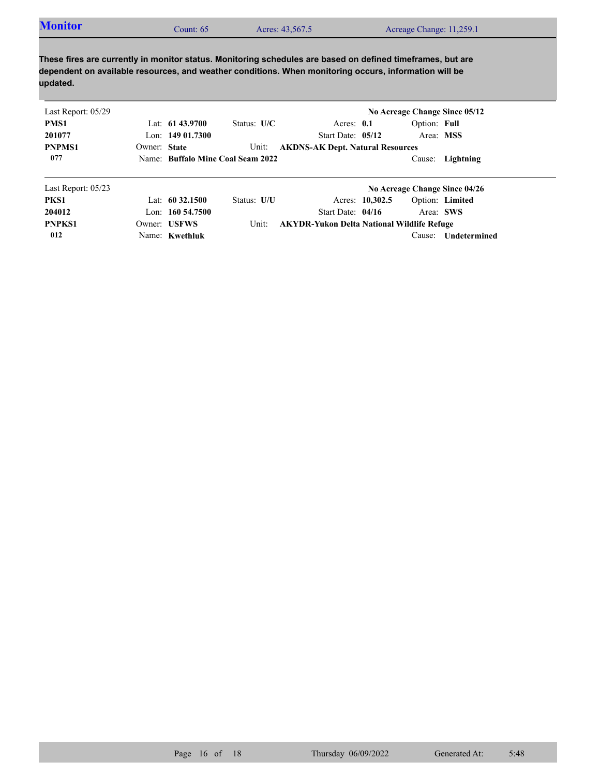| Acreage Change: 11,259.1<br>Acres: 43,567.5<br>Count: $65^\circ$ | <b>Monitor</b> |  |  |  |  |
|------------------------------------------------------------------|----------------|--|--|--|--|
|------------------------------------------------------------------|----------------|--|--|--|--|

| Last Report: 05/29   |              |                     |                                   |                                                   |                 | No Acreage Change Since 05/12 |                  |
|----------------------|--------------|---------------------|-----------------------------------|---------------------------------------------------|-----------------|-------------------------------|------------------|
| PMS1                 |              | Lat: $61\,43.9700$  | Status: $U/C$                     | Acres: $0.1$                                      |                 | Option: Full                  |                  |
| 201077               |              | Lon: $14901.7300$   |                                   | Start Date: 05/12                                 |                 | Area: MSS                     |                  |
| <b>PNPMS1</b>        | Owner: State |                     | Unit:                             | <b>AKDNS-AK Dept. Natural Resources</b>           |                 |                               |                  |
| 077                  |              |                     | Name: Buffalo Mine Coal Seam 2022 |                                                   |                 |                               | Cause: Lightning |
| Last Report: $05/23$ |              |                     |                                   |                                                   |                 | No Acreage Change Since 04/26 |                  |
| PKS1                 |              | Lat: $60\,32.1500$  | Status: U/U                       |                                                   | Acres: 10,302.5 | Option: Limited               |                  |
| 204012               |              | Lon: $160\,54.7500$ |                                   | Start Date: 04/16                                 |                 | Area: SWS                     |                  |
| <b>PNPKS1</b>        |              | Owner: USFWS        | Unit:                             | <b>AKYDR-Yukon Delta National Wildlife Refuge</b> |                 |                               |                  |

Name: **Kwethluk**

**012**

Cause: **Undetermined**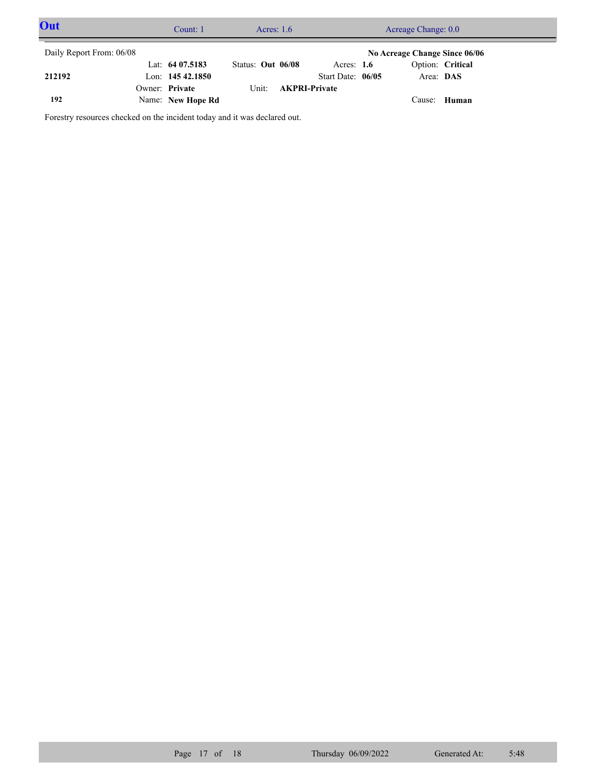| Out                      |  | Count: 1          | Acres: $1.6$      |                      | Acreage Change: 0.0 |  |                               |                  |  |
|--------------------------|--|-------------------|-------------------|----------------------|---------------------|--|-------------------------------|------------------|--|
| Daily Report From: 06/08 |  |                   |                   |                      |                     |  | No Acreage Change Since 06/06 |                  |  |
|                          |  | Lat: $6407.5183$  | Status: Out 06/08 |                      | Acres: $1.6$        |  |                               | Option: Critical |  |
| 212192                   |  | Lon: $14542.1850$ |                   |                      | Start Date: 06/05   |  | Area: DAS                     |                  |  |
|                          |  | Owner: Private    | Unit:             | <b>AKPRI-Private</b> |                     |  |                               |                  |  |
| 192                      |  | Name: New Hope Rd |                   |                      |                     |  | Cause: Human                  |                  |  |

Forestry resources checked on the incident today and it was declared out.